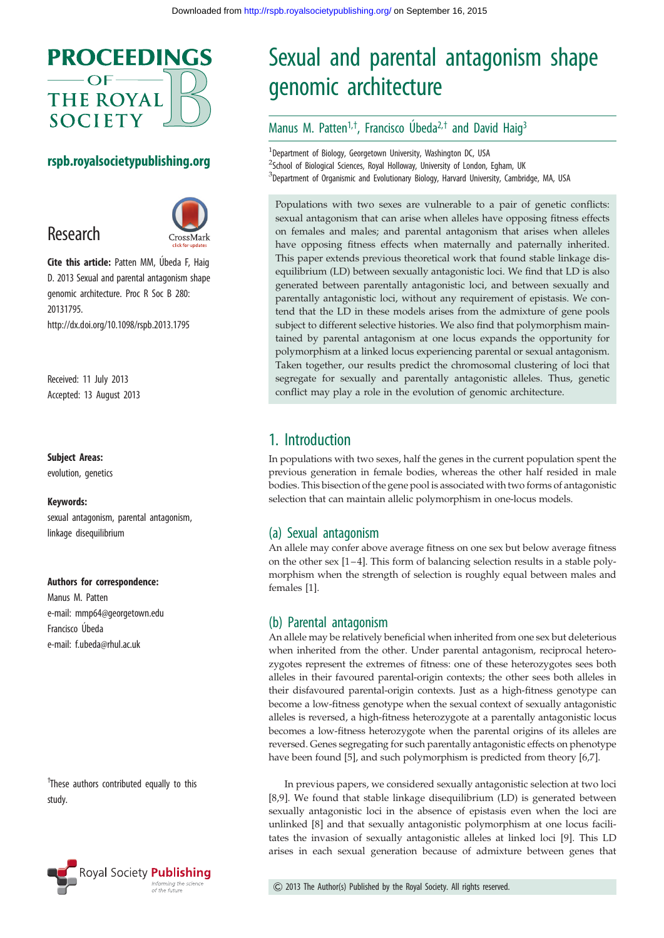

## rspb.royalsocietypublishing.org





Cite this article: Patten MM, Úbeda F, Haig D. 2013 Sexual and parental antagonism shape genomic architecture. Proc R Soc B 280: 20131795. http://dx.doi.org/10.1098/rspb.2013.1795

Received: 11 July 2013 Accepted: 13 August 2013

#### Subject Areas:

evolution, genetics

#### Keywords:

sexual antagonism, parental antagonism, linkage disequilibrium

#### Authors for correspondence:

Manus M. Patten e-mail: [mmp64@georgetown.edu](mailto:mmp64@georgetown.edu) Francisco Úbeda e-mail: [f.ubeda@rhul.ac.uk](mailto:f.ubeda@rhul.ac.uk)

<sup>†</sup>These authors contributed equally to this study.



# Sexual and parental antagonism shape genomic architecture

## Manus M. Patten<sup>1,†</sup>, Francisco Úbeda<sup>2,†</sup> and David Haig<sup>3</sup>

<sup>1</sup>Department of Biology, Georgetown University, Washington DC, USA <sup>2</sup>School of Biological Sciences, Royal Holloway, University of London, Egham, UK <sup>3</sup>Department of Organismic and Evolutionary Biology, Harvard University, Cambridge, MA, USA

Populations with two sexes are vulnerable to a pair of genetic conflicts: sexual antagonism that can arise when alleles have opposing fitness effects on females and males; and parental antagonism that arises when alleles have opposing fitness effects when maternally and paternally inherited. This paper extends previous theoretical work that found stable linkage disequilibrium (LD) between sexually antagonistic loci. We find that LD is also generated between parentally antagonistic loci, and between sexually and parentally antagonistic loci, without any requirement of epistasis. We contend that the LD in these models arises from the admixture of gene pools subject to different selective histories. We also find that polymorphism maintained by parental antagonism at one locus expands the opportunity for polymorphism at a linked locus experiencing parental or sexual antagonism. Taken together, our results predict the chromosomal clustering of loci that segregate for sexually and parentally antagonistic alleles. Thus, genetic conflict may play a role in the evolution of genomic architecture.

# 1. Introduction

In populations with two sexes, half the genes in the current population spent the previous generation in female bodies, whereas the other half resided in male bodies. This bisection of the gene pool is associated with two forms of antagonistic selection that can maintain allelic polymorphism in one-locus models.

## (a) Sexual antagonism

An allele may confer above average fitness on one sex but below average fitness on the other sex  $[1-4]$  $[1-4]$ . This form of balancing selection results in a stable polymorphism when the strength of selection is roughly equal between males and females [[1](#page-7-0)].

#### (b) Parental antagonism

An allele may be relatively beneficial when inherited from one sex but deleterious when inherited from the other. Under parental antagonism, reciprocal heterozygotes represent the extremes of fitness: one of these heterozygotes sees both alleles in their favoured parental-origin contexts; the other sees both alleles in their disfavoured parental-origin contexts. Just as a high-fitness genotype can become a low-fitness genotype when the sexual context of sexually antagonistic alleles is reversed, a high-fitness heterozygote at a parentally antagonistic locus becomes a low-fitness heterozygote when the parental origins of its alleles are reversed. Genes segregating for such parentally antagonistic effects on phenotype have been found [[5](#page-7-0)], and such polymorphism is predicted from theory [\[6,7](#page-7-0)].

In previous papers, we considered sexually antagonistic selection at two loci [[8](#page-7-0),[9](#page-7-0)]. We found that stable linkage disequilibrium (LD) is generated between sexually antagonistic loci in the absence of epistasis even when the loci are unlinked [\[8\]](#page-7-0) and that sexually antagonistic polymorphism at one locus facilitates the invasion of sexually antagonistic alleles at linked loci [[9](#page-7-0)]. This LD arises in each sexual generation because of admixture between genes that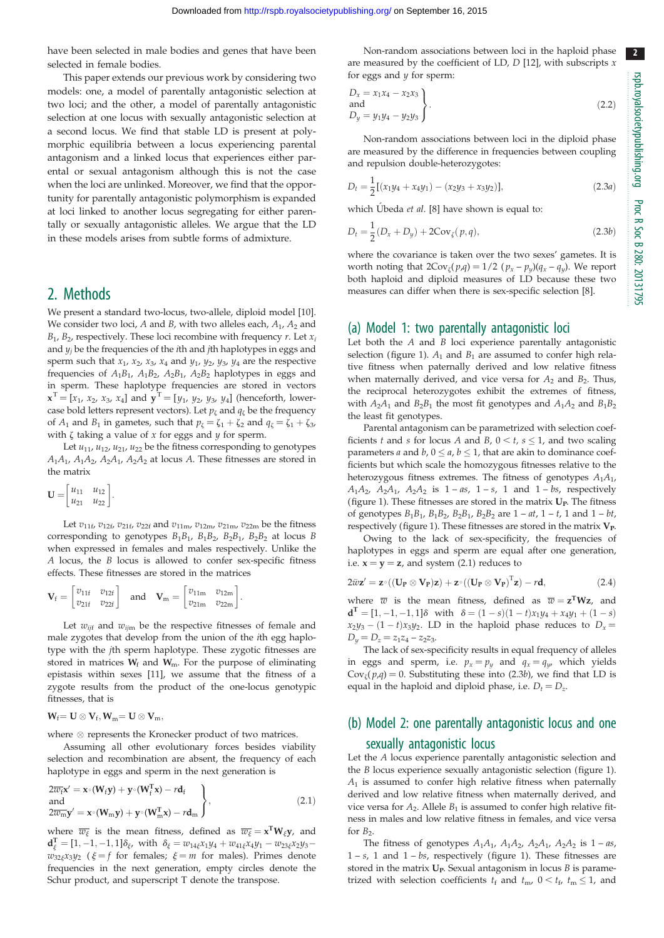have been selected in male bodies and genes that have been selected in female bodies.

This paper extends our previous work by considering two models: one, a model of parentally antagonistic selection at two loci; and the other, a model of parentally antagonistic selection at one locus with sexually antagonistic selection at a second locus. We find that stable LD is present at polymorphic equilibria between a locus experiencing parental antagonism and a linked locus that experiences either parental or sexual antagonism although this is not the case when the loci are unlinked. Moreover, we find that the opportunity for parentally antagonistic polymorphism is expanded at loci linked to another locus segregating for either parentally or sexually antagonistic alleles. We argue that the LD in these models arises from subtle forms of admixture.

## 2. Methods

We present a standard two-locus, two-allele, diploid model [\[10\]](#page-7-0). We consider two loci, A and B, with two alleles each,  $A_1$ ,  $A_2$  and  $B_1$ ,  $B_2$ , respectively. These loci recombine with frequency r. Let  $x_i$ and  $y_i$  be the frequencies of the *i*th and *j*th haplotypes in eggs and sperm such that  $x_1$ ,  $x_2$ ,  $x_3$ ,  $x_4$  and  $y_1$ ,  $y_2$ ,  $y_3$ ,  $y_4$  are the respective frequencies of  $A_1B_1$ ,  $A_1B_2$ ,  $A_2B_1$ ,  $A_2B_2$  haplotypes in eggs and in sperm. These haplotype frequencies are stored in vectors  $\mathbf{x}^T = [x_1, x_2, x_3, x_4]$  and  $\mathbf{y}^T = [y_1, y_2, y_3, y_4]$  (henceforth, lowercase bold letters represent vectors). Let  $p_{\zeta}$  and  $q_{\zeta}$  be the frequency of  $A_1$  and  $B_1$  in gametes, such that  $p_{\zeta} = \zeta_1 + \zeta_2$  and  $q_{\zeta} = \zeta_1 + \zeta_3$ , with  $\zeta$  taking a value of  $x$  for eggs and  $y$  for sperm.

Let  $u_{11}$ ,  $u_{12}$ ,  $u_{21}$ ,  $u_{22}$  be the fitness corresponding to genotypes  $A_1A_1$ ,  $A_1A_2$ ,  $A_2A_1$ ,  $A_2A_2$  at locus A. These fitnesses are stored in the matrix

$$
\mathbf{U} = \begin{bmatrix} u_{11} & u_{12} \\ u_{21} & u_{22} \end{bmatrix}.
$$

Let  $v_{11f}$ ,  $v_{12f}$ ,  $v_{21f}$ ,  $v_{22f}$  and  $v_{11m}$ ,  $v_{12m}$ ,  $v_{21m}$ ,  $v_{22m}$  be the fitness corresponding to genotypes  $B_1B_1$ ,  $B_1B_2$ ,  $B_2B_1$ ,  $B_2B_2$  at locus B when expressed in females and males respectively. Unlike the A locus, the B locus is allowed to confer sex-specific fitness effects. These fitnesses are stored in the matrices

$$
\mathbf{V}_f = \begin{bmatrix} v_{11f} & v_{12f} \\ v_{21f} & v_{22f} \end{bmatrix} \quad \text{and} \quad \mathbf{V}_m = \begin{bmatrix} v_{11m} & v_{12m} \\ v_{21m} & v_{22m} \end{bmatrix}.
$$

Let  $w_{ijf}$  and  $w_{ijm}$  be the respective fitnesses of female and male zygotes that develop from the union of the ith egg haplotype with the jth sperm haplotype. These zygotic fitnesses are stored in matrices  $W_f$  and  $W_m$ . For the purpose of eliminating epistasis within sexes [\[11\]](#page-7-0), we assume that the fitness of a zygote results from the product of the one-locus genotypic fitnesses, that is

$$
W_f\!\!=\mathbf{U}\otimes\mathbf{V}_f, W_m\!\!=\mathbf{U}\otimes\mathbf{V}_m,
$$

where  $\otimes$  represents the Kronecker product of two matrices.

Assuming all other evolutionary forces besides viability selection and recombination are absent, the frequency of each haplotype in eggs and sperm in the next generation is

$$
2\overline{w}_{f}x' = x^{\circ}(W_{f}y) + y^{\circ}(W_{f}^{T}x) - rd_{f}
$$
  
and  

$$
2\overline{w}_{m}y' = x^{\circ}(W_{m}y) + y^{\circ}(W_{m}^{T}x) - rd_{m}
$$
 (2.1)

where  $\overline{w_{\xi}}$  is the mean fitness, defined as  $\overline{w_{\xi}} = x^T W_{\xi} y$ , and  $\mathbf{d}_{\xi}^{\mathrm{T}} = [1, -1, -1, 1] \delta_{\xi}$ , with  $\delta_{\xi} = w_{14\xi}x_1y_4 + w_{41\xi}x_4y_1 - w_{23\xi}x_2y_3$  $w_{32\xi}x_3y_2$  ( $\xi = f$  for females;  $\xi = m$  for males). Primes denote frequencies in the next generation, empty circles denote the Schur product, and superscript T denote the transpose.

Non-random associations between loci in the haploid phase are measured by the coefficient of LD,  $D$  [[12](#page-7-0)], with subscripts  $x$ for eggs and  $y$  for sperm:

$$
D_x = x_1 x_4 - x_2 x_3
$$
  
and  

$$
D_y = y_1 y_4 - y_2 y_3
$$
 (2.2)

Non-random associations between loci in the diploid phase are measured by the difference in frequencies between coupling and repulsion double-heterozygotes:

$$
D_t = \frac{1}{2} [(x_1y_4 + x_4y_1) - (x_2y_3 + x_3y_2)],
$$
\n(2.3*a*)

which Ubeda et al. [[8\]](#page-7-0) have shown is equal to:

$$
D_t = \frac{1}{2}(D_x + D_y) + 2\text{Cov}_\zeta(p, q),\tag{2.3b}
$$

where the covariance is taken over the two sexes' gametes. It is worth noting that  $2\text{Cov}_{\zeta}(p,q) = 1/2$   $(p_x - p_y)(q_x - q_y)$ . We report both haploid and diploid measures of LD because these two measures can differ when there is sex-specific selection [[8](#page-7-0)].

#### (a) Model 1: two parentally antagonistic loci

Let both the  $A$  and  $B$  loci experience parentally antagonistic selection ([figure 1\)](#page-2-0).  $A_1$  and  $B_1$  are assumed to confer high relative fitness when paternally derived and low relative fitness when maternally derived, and vice versa for  $A_2$  and  $B_2$ . Thus, the reciprocal heterozygotes exhibit the extremes of fitness, with  $A_2A_1$  and  $B_2B_1$  the most fit genotypes and  $A_1A_2$  and  $B_1B_2$ the least fit genotypes.

Parental antagonism can be parametrized with selection coefficients t and s for locus A and B,  $0 \le t$ ,  $s \le 1$ , and two scaling parameters *a* and *b*,  $0 \le a$ ,  $b \le 1$ , that are akin to dominance coefficients but which scale the homozygous fitnesses relative to the heterozygous fitness extremes. The fitness of genotypes  $A_1A_1$ ,  $A_1A_2$ ,  $A_2A_1$ ,  $A_2A_2$  is  $1-as$ ,  $1-s$ , 1 and  $1-bs$ , respectively ([figure 1\)](#page-2-0). These fitnesses are stored in the matrix  $U_P$ . The fitness of genotypes  $B_1B_1$ ,  $B_1B_2$ ,  $B_2B_1$ ,  $B_2B_2$  are  $1 - at$ ,  $1 - t$ , 1 and  $1 - bt$ , respectively ([figure 1\)](#page-2-0). These fitnesses are stored in the matrix  $V_P$ .

Owing to the lack of sex-specificity, the frequencies of haplotypes in eggs and sperm are equal after one generation, i.e.  $x = y = z$ , and system (2.1) reduces to

$$
2\bar{w}\mathbf{z}' = \mathbf{z} \cdot ((\mathbf{U}_{\mathbf{P}} \otimes \mathbf{V}_{\mathbf{P}})\mathbf{z}) + \mathbf{z} \cdot ((\mathbf{U}_{\mathbf{P}} \otimes \mathbf{V}_{\mathbf{P}})^{\mathrm{T}}\mathbf{z}) - r\mathbf{d},
$$
\n(2.4)

where  $\overline{w}$  is the mean fitness, defined as  $\overline{w} = z^T W z$ , and  $d^{\text{T}} = [1, -1, -1, 1]\delta$  with  $\delta = (1 - s)(1 - t)x_1y_4 + x_4y_1 + (1 - s)$  $x_2y_3 - (1 - t)x_3y_2$ . LD in the haploid phase reduces to  $D_x =$  $D_u = D_z = z_1z_4 - z_2z_3.$ 

The lack of sex-specificity results in equal frequency of alleles in eggs and sperm, i.e.  $p_x = p_y$  and  $q_x = q_y$ , which yields  $Cov_{\zeta}(p,q) = 0$ . Substituting these into (2.3b), we find that LD is equal in the haploid and diploid phase, i.e.  $D_t = D_z$ .

## (b) Model 2: one parentally antagonistic locus and one sexually antagonistic locus

Let the A locus experience parentally antagonistic selection and the B locus experience sexually antagonistic selection [\(figure 1\)](#page-2-0).  $A_1$  is assumed to confer high relative fitness when paternally derived and low relative fitness when maternally derived, and vice versa for  $A_2$ . Allele  $B_1$  is assumed to confer high relative fitness in males and low relative fitness in females, and vice versa for  $B_2$ .

The fitness of genotypes  $A_1A_1$ ,  $A_1A_2$ ,  $A_2A_1$ ,  $A_2A_2$  is  $1 - as$ ,  $1 - s$ , 1 and  $1 - bs$ , respectively [\(figure 1](#page-2-0)). These fitnesses are stored in the matrix  $U_P$ . Sexual antagonism in locus  $B$  is parametrized with selection coefficients  $t_f$  and  $t_m$ ,  $0 < t_f$ ,  $t_m \le 1$ , and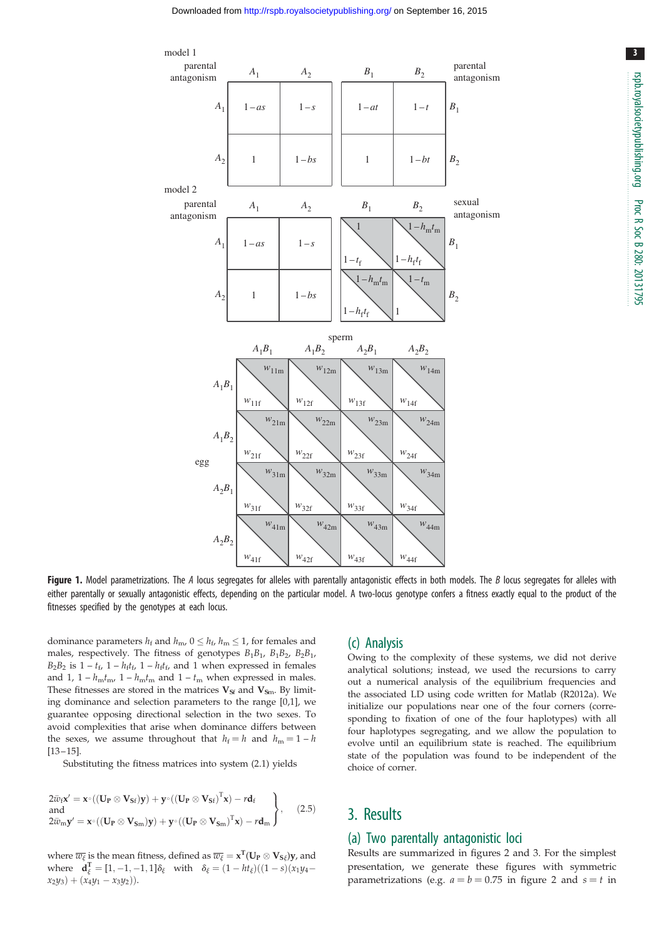<span id="page-2-0"></span>

3

Figure 1. Model parametrizations. The A locus segregates for alleles with parentally antagonistic effects in both models. The B locus segregates for alleles with either parentally or sexually antagonistic effects, depending on the particular model. A two-locus genotype confers a fitness exactly equal to the product of the fitnesses specified by the genotypes at each locus.

dominance parameters  $h_f$  and  $h_{\text{m}}$ ,  $0 \leq h_f$ ,  $h_{\text{m}} \leq 1$ , for females and males, respectively. The fitness of genotypes  $B_1B_1$ ,  $B_1B_2$ ,  $B_2B_1$ ,  $B_2B_2$  is  $1-t_f$ ,  $1-h_f t_f$ ,  $1-h_f t_f$ , and 1 when expressed in females and 1,  $1 - h_{\rm m}t_{\rm m}$ ,  $1 - h_{\rm m}t_{\rm m}$  and  $1 - t_{\rm m}$  when expressed in males. These fitnesses are stored in the matrices  $V_{\text{Sf}}$  and  $V_{\text{Sm}}$ . By limiting dominance and selection parameters to the range [0,1], we guarantee opposing directional selection in the two sexes. To avoid complexities that arise when dominance differs between the sexes, we assume throughout that  $h_f = h$  and  $h_m = 1 - h$  $[13 - 15]$  $[13 - 15]$  $[13 - 15]$  $[13 - 15]$ .

Substituting the fitness matrices into system (2.1) yields

$$
2\bar{w}_{f}\mathbf{x}' = \mathbf{x} \cdot ((\mathbf{U}_{P} \otimes \mathbf{V}_{Sf})\mathbf{y}) + \mathbf{y} \cdot ((\mathbf{U}_{P} \otimes \mathbf{V}_{Sf})^{T}\mathbf{x}) - r\mathbf{d}_{f}
$$
  
and  

$$
2\bar{w}_{m}\mathbf{y}' = \mathbf{x} \cdot ((\mathbf{U}_{P} \otimes \mathbf{V}_{Sm})\mathbf{y}) + \mathbf{y} \cdot ((\mathbf{U}_{P} \otimes \mathbf{V}_{Sm})^{T}\mathbf{x}) - r\mathbf{d}_{m}
$$
 (2.5)

where  $\overline{w_\xi}$  is the mean fitness, defined as  $\overline{w_\xi} = \mathbf{x}^\mathrm{T} (\mathbf{U}_\mathbf{P} \otimes \mathbf{V}_{\mathbf{S} \xi}) \mathbf{y}$ , and where  $\mathbf{d}_{\xi}^{\mathrm{T}} = [1, -1, -1, 1] \delta_{\xi}$  with  $\delta_{\xi} = (1 - ht_{\xi})((1 - s)(x_1y_4$  $x_2y_3 + (x_4y_1 - x_3y_2)$ 

### (c) Analysis

Owing to the complexity of these systems, we did not derive analytical solutions; instead, we used the recursions to carry out a numerical analysis of the equilibrium frequencies and the associated LD using code written for Matlab (R2012a). We initialize our populations near one of the four corners (corresponding to fixation of one of the four haplotypes) with all four haplotypes segregating, and we allow the population to evolve until an equilibrium state is reached. The equilibrium state of the population was found to be independent of the choice of corner.

## 3. Results

### (a) Two parentally antagonistic loci

Results are summarized in figures [2](#page-3-0) and [3.](#page-3-0) For the simplest presentation, we generate these figures with symmetric parametrizations (e.g.  $a = b = 0.75$  in [figure 2](#page-3-0) and  $s = t$  in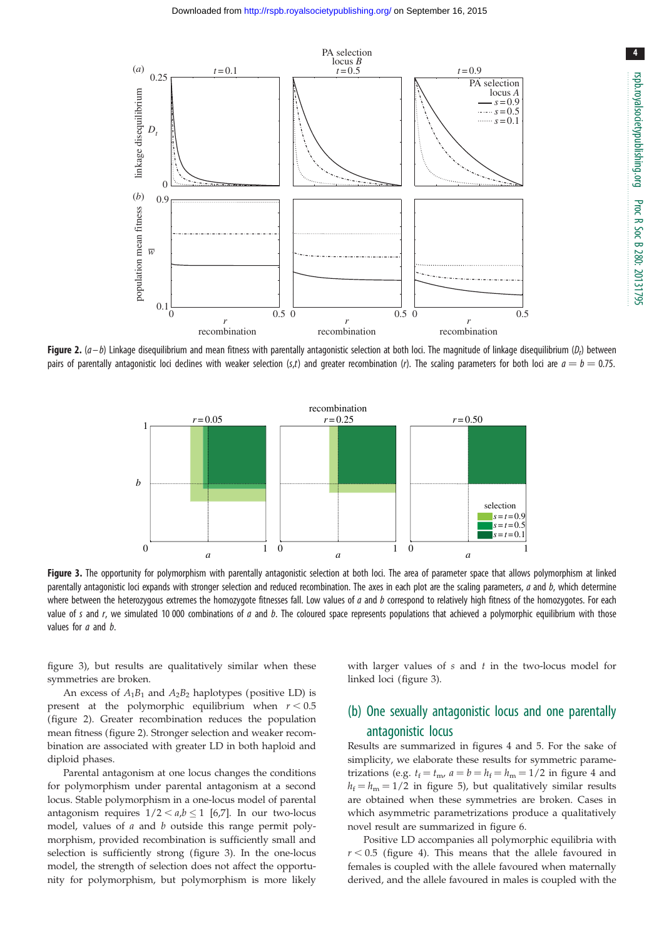<span id="page-3-0"></span>

**Figure 2.** (a–b) Linkage disequilibrium and mean fitness with parentally antagonistic selection at both loci. The magnitude of linkage disequilibrium (D<sub>t</sub>) between pairs of parentally antagonistic loci declines with weaker selection (s,t) and greater recombination (r). The scaling parameters for both loci are  $a = b = 0.75$ .



Figure 3. The opportunity for polymorphism with parentally antagonistic selection at both loci. The area of parameter space that allows polymorphism at linked parentally antagonistic loci expands with stronger selection and reduced recombination. The axes in each plot are the scaling parameters, a and b, which determine where between the heterozygous extremes the homozygote fitnesses fall. Low values of a and b correspond to relatively high fitness of the homozygotes. For each value of s and r, we simulated 10 000 combinations of  $a$  and  $b$ . The coloured space represents populations that achieved a polymorphic equilibrium with those values for *a* and *b*.

figure 3), but results are qualitatively similar when these symmetries are broken.

An excess of  $A_1B_1$  and  $A_2B_2$  haplotypes (positive LD) is present at the polymorphic equilibrium when  $r < 0.5$ (figure 2). Greater recombination reduces the population mean fitness (figure 2). Stronger selection and weaker recombination are associated with greater LD in both haploid and diploid phases.

Parental antagonism at one locus changes the conditions for polymorphism under parental antagonism at a second locus. Stable polymorphism in a one-locus model of parental antagonism requires  $1/2 < a,b < 1$  [6.7]. In our two-locus model, values of a and b outside this range permit polymorphism, provided recombination is sufficiently small and selection is sufficiently strong (figure 3). In the one-locus model, the strength of selection does not affect the opportunity for polymorphism, but polymorphism is more likely with larger values of  $s$  and  $t$  in the two-locus model for linked loci (figure 3).

# (b) One sexually antagonistic locus and one parentally antagonistic locus

Results are summarized in figures [4](#page-4-0) and [5.](#page-4-0) For the sake of simplicity, we elaborate these results for symmetric parametrizations (e.g.  $t_f = t_{mv}$ ,  $a = b = h_f = h_m = 1/2$  in [figure 4](#page-4-0) and  $h_f = h_m = 1/2$  in [figure 5](#page-4-0)), but qualitatively similar results are obtained when these symmetries are broken. Cases in which asymmetric parametrizations produce a qualitatively novel result are summarized in [figure 6](#page-5-0).

Positive LD accompanies all polymorphic equilibria with  $r < 0.5$  [\(figure 4\)](#page-4-0). This means that the allele favoured in females is coupled with the allele favoured when maternally derived, and the allele favoured in males is coupled with the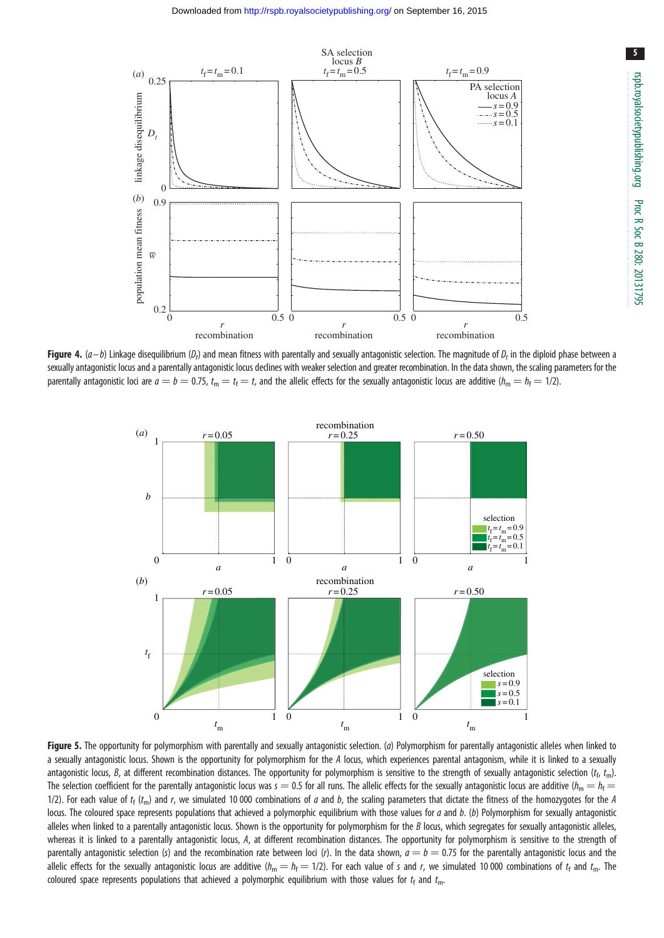<span id="page-4-0"></span>

**Figure 4.** (a–b) Linkage disequilibrium (D<sub>t</sub>) and mean fitness with parentally and sexually antagonistic selection. The magnitude of D<sub>t</sub> in the diploid phase between a sexually antagonistic locus and a parentally antagonistic locus declines with weaker selection and greater recombination. In the data shown, the scaling parameters for the parentally antagonistic loci are  $a = b = 0.75$ ,  $t_m = t_f = t$ , and the allelic effects for the sexually antagonistic locus are additive ( $h_m = h_f = 1/2$ ).



Figure 5. The opportunity for polymorphism with parentally and sexually antagonistic selection. (a) Polymorphism for parentally antagonistic alleles when linked to a sexually antagonistic locus. Shown is the opportunity for polymorphism for the A locus, which experiences parental antagonism, while it is linked to a sexually antagonistic locus, B, at different recombination distances. The opportunity for polymorphism is sensitive to the strength of sexually antagonistic selection  $(t_{\rm f},\,t_{\rm m})$ . The selection coefficient for the parentally antagonistic locus was  $s = 0.5$  for all runs. The allelic effects for the sexually antagonistic locus are additive ( $h_m = h_f =$ 1/2). For each value of  $t_f$  ( $t_m$ ) and r, we simulated 10 000 combinations of a and b, the scaling parameters that dictate the fitness of the homozygotes for the A locus. The coloured space represents populations that achieved a polymorphic equilibrium with those values for  $a$  and  $b$ . (b) Polymorphism for sexually antagonistic alleles when linked to a parentally antagonistic locus. Shown is the opportunity for polymorphism for the B locus, which segregates for sexually antagonistic alleles, whereas it is linked to a parentally antagonistic locus, A, at different recombination distances. The opportunity for polymorphism is sensitive to the strength of parentally antagonistic selection (s) and the recombination rate between loci (r). In the data shown,  $a = b = 0.75$  for the parentally antagonistic locus and the allelic effects for the sexually antagonistic locus are additive ( $h_m = h_f = 1/2$ ). For each value of s and r, we simulated 10 000 combinations of t<sub>f</sub> and t<sub>m</sub>. The coloured space represents populations that achieved a polymorphic equilibrium with those values for  $t_f$  and  $t_m$ .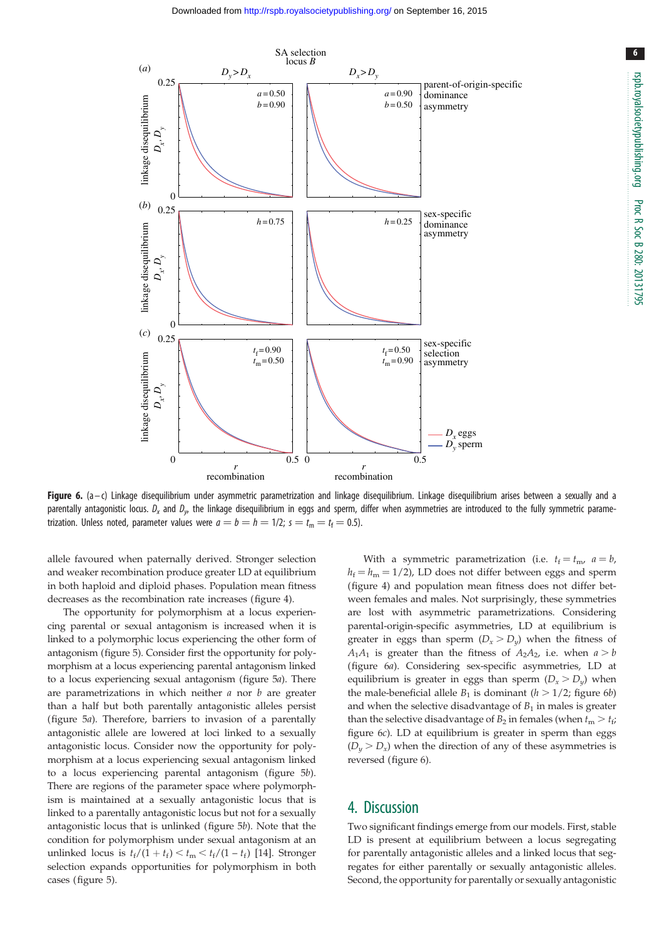<span id="page-5-0"></span>

Figure 6.  $(a-c)$  Linkage disequilibrium under asymmetric parametrization and linkage disequilibrium. Linkage disequilibrium arises between a sexually and a parentally antagonistic locus.  $D_x$  and  $D_y$ , the linkage disequilibrium in eggs and sperm, differ when asymmetries are introduced to the fully symmetric parametrization. Unless noted, parameter values were  $a = b = h = 1/2$ ;  $s = t_m = t_f = 0.5$ ).

allele favoured when paternally derived. Stronger selection and weaker recombination produce greater LD at equilibrium in both haploid and diploid phases. Population mean fitness decreases as the recombination rate increases ([figure 4](#page-4-0)).

The opportunity for polymorphism at a locus experiencing parental or sexual antagonism is increased when it is linked to a polymorphic locus experiencing the other form of antagonism [\(figure 5](#page-4-0)). Consider first the opportunity for polymorphism at a locus experiencing parental antagonism linked to a locus experiencing sexual antagonism [\(figure 5](#page-4-0)a). There are parametrizations in which neither  $a$  nor  $b$  are greater than a half but both parentally antagonistic alleles persist [\(figure 5](#page-4-0)a). Therefore, barriers to invasion of a parentally antagonistic allele are lowered at loci linked to a sexually antagonistic locus. Consider now the opportunity for polymorphism at a locus experiencing sexual antagonism linked to a locus experiencing parental antagonism [\(figure 5](#page-4-0)b). There are regions of the parameter space where polymorphism is maintained at a sexually antagonistic locus that is linked to a parentally antagonistic locus but not for a sexually antagonistic locus that is unlinked ([figure 5](#page-4-0)b). Note that the condition for polymorphism under sexual antagonism at an unlinked locus is  $t_f/(1 + t_f) < t_m < t_f/(1 - t_f)$  [[14\]](#page-7-0). Stronger selection expands opportunities for polymorphism in both cases ([figure 5\)](#page-4-0).

With a symmetric parametrization (i.e.  $t_f = t_m$ ,  $a = b$ ,  $h_f = h_m = 1/2$ ), LD does not differ between eggs and sperm ([figure 4\)](#page-4-0) and population mean fitness does not differ between females and males. Not surprisingly, these symmetries are lost with asymmetric parametrizations. Considering parental-origin-specific asymmetries, LD at equilibrium is greater in eggs than sperm  $(D_x > D_y)$  when the fitness of  $A_1A_1$  is greater than the fitness of  $A_2A_2$ , i.e. when  $a > b$ (figure 6a). Considering sex-specific asymmetries, LD at equilibrium is greater in eggs than sperm  $(D_x > D_y)$  when the male-beneficial allele  $B_1$  is dominant ( $h > 1/2$ ; figure 6b) and when the selective disadvantage of  $B_1$  in males is greater than the selective disadvantage of  $B_2$  in females (when  $t_m > t_f$ ; figure 6c). LD at equilibrium is greater in sperm than eggs  $(D_v > D_x)$  when the direction of any of these asymmetries is reversed (figure 6).

## 4. Discussion

Two significant findings emerge from our models. First, stable LD is present at equilibrium between a locus segregating for parentally antagonistic alleles and a linked locus that segregates for either parentally or sexually antagonistic alleles. Second, the opportunity for parentally or sexually antagonistic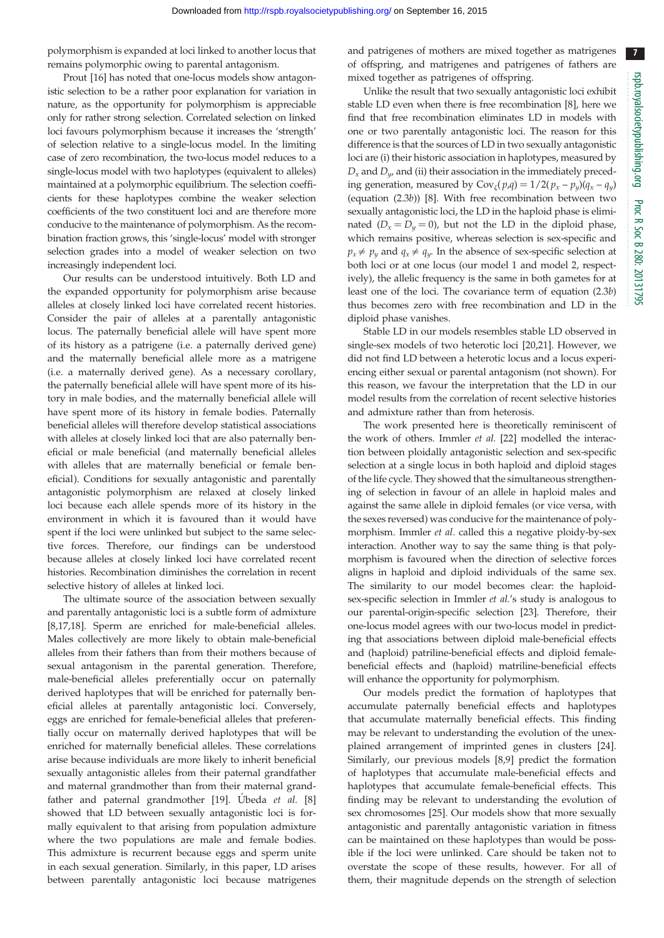polymorphism is expanded at loci linked to another locus that remains polymorphic owing to parental antagonism.

Prout [[16\]](#page-7-0) has noted that one-locus models show antagonistic selection to be a rather poor explanation for variation in nature, as the opportunity for polymorphism is appreciable only for rather strong selection. Correlated selection on linked loci favours polymorphism because it increases the 'strength' of selection relative to a single-locus model. In the limiting case of zero recombination, the two-locus model reduces to a single-locus model with two haplotypes (equivalent to alleles) maintained at a polymorphic equilibrium. The selection coefficients for these haplotypes combine the weaker selection coefficients of the two constituent loci and are therefore more conducive to the maintenance of polymorphism. As the recombination fraction grows, this 'single-locus' model with stronger selection grades into a model of weaker selection on two increasingly independent loci.

Our results can be understood intuitively. Both LD and the expanded opportunity for polymorphism arise because alleles at closely linked loci have correlated recent histories. Consider the pair of alleles at a parentally antagonistic locus. The paternally beneficial allele will have spent more of its history as a patrigene (i.e. a paternally derived gene) and the maternally beneficial allele more as a matrigene (i.e. a maternally derived gene). As a necessary corollary, the paternally beneficial allele will have spent more of its history in male bodies, and the maternally beneficial allele will have spent more of its history in female bodies. Paternally beneficial alleles will therefore develop statistical associations with alleles at closely linked loci that are also paternally beneficial or male beneficial (and maternally beneficial alleles with alleles that are maternally beneficial or female beneficial). Conditions for sexually antagonistic and parentally antagonistic polymorphism are relaxed at closely linked loci because each allele spends more of its history in the environment in which it is favoured than it would have spent if the loci were unlinked but subject to the same selective forces. Therefore, our findings can be understood because alleles at closely linked loci have correlated recent histories. Recombination diminishes the correlation in recent selective history of alleles at linked loci.

The ultimate source of the association between sexually and parentally antagonistic loci is a subtle form of admixture [\[8,17,18](#page-7-0)]. Sperm are enriched for male-beneficial alleles. Males collectively are more likely to obtain male-beneficial alleles from their fathers than from their mothers because of sexual antagonism in the parental generation. Therefore, male-beneficial alleles preferentially occur on paternally derived haplotypes that will be enriched for paternally beneficial alleles at parentally antagonistic loci. Conversely, eggs are enriched for female-beneficial alleles that preferentially occur on maternally derived haplotypes that will be enriched for maternally beneficial alleles. These correlations arise because individuals are more likely to inherit beneficial sexually antagonistic alleles from their paternal grandfather and maternal grandmother than from their maternal grand-father and paternal grandmother [[19\]](#page-7-0). Ubeda et al.  $[8]$ showed that LD between sexually antagonistic loci is formally equivalent to that arising from population admixture where the two populations are male and female bodies. This admixture is recurrent because eggs and sperm unite in each sexual generation. Similarly, in this paper, LD arises between parentally antagonistic loci because matrigenes

and patrigenes of mothers are mixed together as matrigenes of offspring, and matrigenes and patrigenes of fathers are mixed together as patrigenes of offspring.

Unlike the result that two sexually antagonistic loci exhibit stable LD even when there is free recombination [\[8\]](#page-7-0), here we find that free recombination eliminates LD in models with one or two parentally antagonistic loci. The reason for this difference is that the sources of LD in two sexually antagonistic loci are (i) their historic association in haplotypes, measured by  $D_x$  and  $D_y$  and (ii) their association in the immediately preceding generation, measured by  $Cov_{\zeta}(p,q) = 1/2(p_x - p_y)(q_x - q_y)$ (equation (2.3b)) [[8](#page-7-0)]. With free recombination between two sexually antagonistic loci, the LD in the haploid phase is eliminated  $(D_x = D_y = 0)$ , but not the LD in the diploid phase, which remains positive, whereas selection is sex-specific and  $p_x \neq p_y$  and  $q_x \neq q_y$ . In the absence of sex-specific selection at both loci or at one locus (our model 1 and model 2, respectively), the allelic frequency is the same in both gametes for at least one of the loci. The covariance term of equation (2.3b) thus becomes zero with free recombination and LD in the diploid phase vanishes.

Stable LD in our models resembles stable LD observed in single-sex models of two heterotic loci [\[20](#page-7-0),[21\]](#page-7-0). However, we did not find LD between a heterotic locus and a locus experiencing either sexual or parental antagonism (not shown). For this reason, we favour the interpretation that the LD in our model results from the correlation of recent selective histories and admixture rather than from heterosis.

The work presented here is theoretically reminiscent of the work of others. Immler et al. [[22](#page-7-0)] modelled the interaction between ploidally antagonistic selection and sex-specific selection at a single locus in both haploid and diploid stages of the life cycle. They showed that the simultaneous strengthening of selection in favour of an allele in haploid males and against the same allele in diploid females (or vice versa, with the sexes reversed) was conducive for the maintenance of polymorphism. Immler et al. called this a negative ploidy-by-sex interaction. Another way to say the same thing is that polymorphism is favoured when the direction of selective forces aligns in haploid and diploid individuals of the same sex. The similarity to our model becomes clear: the haploidsex-specific selection in Immler et al.'s study is analogous to our parental-origin-specific selection [\[23](#page-7-0)]. Therefore, their one-locus model agrees with our two-locus model in predicting that associations between diploid male-beneficial effects and (haploid) patriline-beneficial effects and diploid femalebeneficial effects and (haploid) matriline-beneficial effects will enhance the opportunity for polymorphism.

Our models predict the formation of haplotypes that accumulate paternally beneficial effects and haplotypes that accumulate maternally beneficial effects. This finding may be relevant to understanding the evolution of the unexplained arrangement of imprinted genes in clusters [[24\]](#page-7-0). Similarly, our previous models [[8,9\]](#page-7-0) predict the formation of haplotypes that accumulate male-beneficial effects and haplotypes that accumulate female-beneficial effects. This finding may be relevant to understanding the evolution of sex chromosomes [\[25](#page-7-0)]. Our models show that more sexually antagonistic and parentally antagonistic variation in fitness can be maintained on these haplotypes than would be possible if the loci were unlinked. Care should be taken not to overstate the scope of these results, however. For all of them, their magnitude depends on the strength of selection